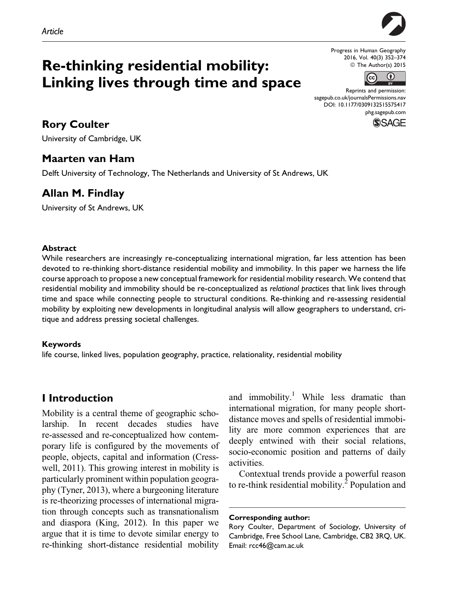

# Re-thinking residential mobility: Linking lives through time and space

# Rory Coulter

University of Cambridge, UK

# Maarten van Ham

Delft University of Technology, The Netherlands and University of St Andrews, UK

# Allan M. Findlay

University of St Andrews, UK

#### Abstract

While researchers are increasingly re-conceptualizing international migration, far less attention has been devoted to re-thinking short-distance residential mobility and immobility. In this paper we harness the life course approach to propose a new conceptual framework for residential mobility research. We contend that residential mobility and immobility should be re-conceptualized as relational practices that link lives through time and space while connecting people to structural conditions. Re-thinking and re-assessing residential mobility by exploiting new developments in longitudinal analysis will allow geographers to understand, critique and address pressing societal challenges.

#### Keywords

life course, linked lives, population geography, practice, relationality, residential mobility

# I Introduction

Mobility is a central theme of geographic scholarship. In recent decades studies have re-assessed and re-conceptualized how contemporary life is configured by the movements of people, objects, capital and information (Cresswell, 2011). This growing interest in mobility is particularly prominent within population geography (Tyner, 2013), where a burgeoning literature is re-theorizing processes of international migration through concepts such as transnationalism and diaspora (King, 2012). In this paper we argue that it is time to devote similar energy to re-thinking short-distance residential mobility and immobility.<sup>1</sup> While less dramatic than international migration, for many people shortdistance moves and spells of residential immobility are more common experiences that are deeply entwined with their social relations, socio-economic position and patterns of daily activities.

Contextual trends provide a powerful reason to re-think residential mobility.<sup>2</sup> Population and

Corresponding author:

Rory Coulter, Department of Sociology, University of Cambridge, Free School Lane, Cambridge, CB2 3RQ, UK. Email: rcc46@cam.ac.uk

Progress in Human Geography 2016, Vol. 40(3) 352–374 © The Author(s) 2015



Reprints and permission: [sagepub.co.uk/journalsPermissions.nav](http://www.sagepub.co.uk/journalsPermissions.nav) DOI: 10.1177/0309132515575417 [phg.sagepub.com](http://phg.sagepub.com)

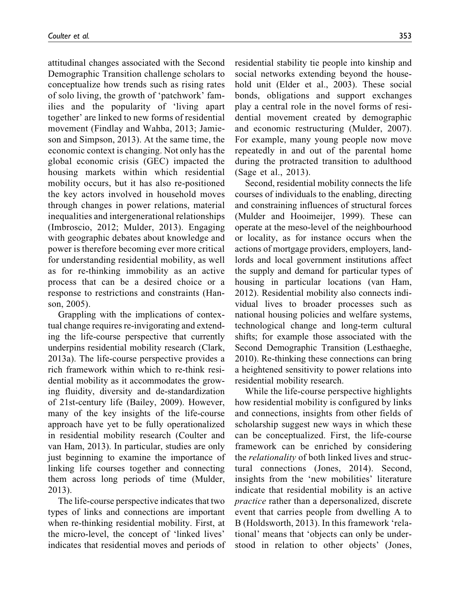attitudinal changes associated with the Second Demographic Transition challenge scholars to conceptualize how trends such as rising rates of solo living, the growth of 'patchwork' families and the popularity of 'living apart together' are linked to new forms of residential movement (Findlay and Wahba, 2013; Jamieson and Simpson, 2013). At the same time, the economic context is changing. Not only has the global economic crisis (GEC) impacted the housing markets within which residential mobility occurs, but it has also re-positioned the key actors involved in household moves through changes in power relations, material inequalities and intergenerational relationships (Imbroscio, 2012; Mulder, 2013). Engaging with geographic debates about knowledge and power is therefore becoming ever more critical for understanding residential mobility, as well as for re-thinking immobility as an active process that can be a desired choice or a response to restrictions and constraints (Hanson, 2005).

Grappling with the implications of contextual change requires re-invigorating and extending the life-course perspective that currently underpins residential mobility research (Clark, 2013a). The life-course perspective provides a rich framework within which to re-think residential mobility as it accommodates the growing fluidity, diversity and de-standardization of 21st-century life (Bailey, 2009). However, many of the key insights of the life-course approach have yet to be fully operationalized in residential mobility research (Coulter and van Ham, 2013). In particular, studies are only just beginning to examine the importance of linking life courses together and connecting them across long periods of time (Mulder, 2013).

The life-course perspective indicates that two types of links and connections are important when re-thinking residential mobility. First, at the micro-level, the concept of 'linked lives' indicates that residential moves and periods of residential stability tie people into kinship and social networks extending beyond the household unit (Elder et al., 2003). These social bonds, obligations and support exchanges play a central role in the novel forms of residential movement created by demographic and economic restructuring (Mulder, 2007). For example, many young people now move repeatedly in and out of the parental home during the protracted transition to adulthood (Sage et al., 2013).

Second, residential mobility connects the life courses of individuals to the enabling, directing and constraining influences of structural forces (Mulder and Hooimeijer, 1999). These can operate at the meso-level of the neighbourhood or locality, as for instance occurs when the actions of mortgage providers, employers, landlords and local government institutions affect the supply and demand for particular types of housing in particular locations (van Ham, 2012). Residential mobility also connects individual lives to broader processes such as national housing policies and welfare systems, technological change and long-term cultural shifts; for example those associated with the Second Demographic Transition (Lesthaeghe, 2010). Re-thinking these connections can bring a heightened sensitivity to power relations into residential mobility research.

While the life-course perspective highlights how residential mobility is configured by links and connections, insights from other fields of scholarship suggest new ways in which these can be conceptualized. First, the life-course framework can be enriched by considering the relationality of both linked lives and structural connections (Jones, 2014). Second, insights from the 'new mobilities' literature indicate that residential mobility is an active practice rather than a depersonalized, discrete event that carries people from dwelling A to B (Holdsworth, 2013). In this framework 'relational' means that 'objects can only be understood in relation to other objects' (Jones,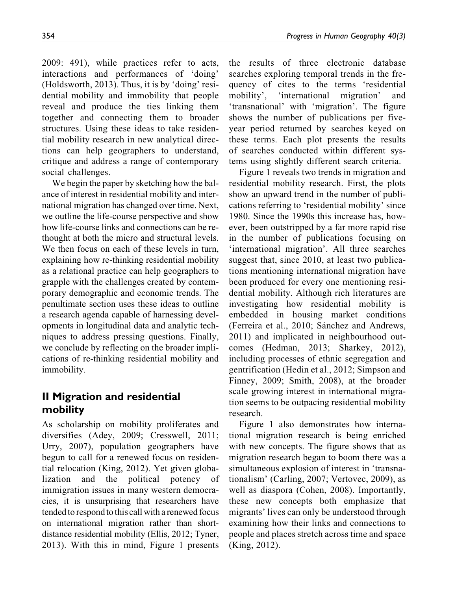2009: 491), while practices refer to acts, interactions and performances of 'doing' (Holdsworth, 2013). Thus, it is by 'doing' residential mobility and immobility that people reveal and produce the ties linking them together and connecting them to broader structures. Using these ideas to take residential mobility research in new analytical directions can help geographers to understand, critique and address a range of contemporary social challenges.

We begin the paper by sketching how the balance of interest in residential mobility and international migration has changed over time. Next, we outline the life-course perspective and show how life-course links and connections can be rethought at both the micro and structural levels. We then focus on each of these levels in turn, explaining how re-thinking residential mobility as a relational practice can help geographers to grapple with the challenges created by contemporary demographic and economic trends. The penultimate section uses these ideas to outline a research agenda capable of harnessing developments in longitudinal data and analytic techniques to address pressing questions. Finally, we conclude by reflecting on the broader implications of re-thinking residential mobility and immobility.

# II Migration and residential mobility

As scholarship on mobility proliferates and diversifies (Adey, 2009; Cresswell, 2011; Urry, 2007), population geographers have begun to call for a renewed focus on residential relocation (King, 2012). Yet given globalization and the political potency of immigration issues in many western democracies, it is unsurprising that researchers have tended to respond to this call with a renewed focus on international migration rather than shortdistance residential mobility (Ellis, 2012; Tyner, 2013). With this in mind, Figure 1 presents

the results of three electronic database searches exploring temporal trends in the frequency of cites to the terms 'residential mobility', 'international migration' and 'transnational' with 'migration'. The figure shows the number of publications per fiveyear period returned by searches keyed on these terms. Each plot presents the results of searches conducted within different systems using slightly different search criteria.

Figure 1 reveals two trends in migration and residential mobility research. First, the plots show an upward trend in the number of publications referring to 'residential mobility' since 1980. Since the 1990s this increase has, however, been outstripped by a far more rapid rise in the number of publications focusing on 'international migration'. All three searches suggest that, since 2010, at least two publications mentioning international migration have been produced for every one mentioning residential mobility. Although rich literatures are investigating how residential mobility is embedded in housing market conditions (Ferreira et al., 2010; Sánchez and Andrews, 2011) and implicated in neighbourhood outcomes (Hedman, 2013; Sharkey, 2012), including processes of ethnic segregation and gentrification (Hedin et al., 2012; Simpson and Finney, 2009; Smith, 2008), at the broader scale growing interest in international migration seems to be outpacing residential mobility research.

Figure 1 also demonstrates how international migration research is being enriched with new concepts. The figure shows that as migration research began to boom there was a simultaneous explosion of interest in 'transnationalism' (Carling, 2007; Vertovec, 2009), as well as diaspora (Cohen, 2008). Importantly, these new concepts both emphasize that migrants' lives can only be understood through examining how their links and connections to people and places stretch across time and space (King, 2012).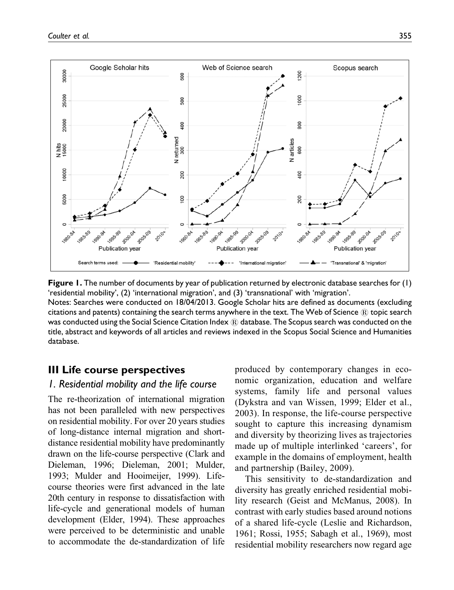

Figure 1. The number of documents by year of publication returned by electronic database searches for (1) 'residential mobility', (2) 'international migration', and (3) 'transnational' with 'migration'.

Notes: Searches were conducted on 18/04/2013. Google Scholar hits are defined as documents (excluding citations and patents) containing the search terms anywhere in the text. The Web of Science  $\mathbb R$  topic search was conducted using the Social Science Citation Index (R) database. The Scopus search was conducted on the title, abstract and keywords of all articles and reviews indexed in the Scopus Social Science and Humanities database.

# III Life course perspectives

## 1. Residential mobility and the life course

The re-theorization of international migration has not been paralleled with new perspectives on residential mobility. For over 20 years studies of long-distance internal migration and shortdistance residential mobility have predominantly drawn on the life-course perspective (Clark and Dieleman, 1996; Dieleman, 2001; Mulder, 1993; Mulder and Hooimeijer, 1999). Lifecourse theories were first advanced in the late 20th century in response to dissatisfaction with life-cycle and generational models of human development (Elder, 1994). These approaches were perceived to be deterministic and unable to accommodate the de-standardization of life produced by contemporary changes in economic organization, education and welfare systems, family life and personal values (Dykstra and van Wissen, 1999; Elder et al., 2003). In response, the life-course perspective sought to capture this increasing dynamism and diversity by theorizing lives as trajectories made up of multiple interlinked 'careers', for example in the domains of employment, health and partnership (Bailey, 2009).

This sensitivity to de-standardization and diversity has greatly enriched residential mobility research (Geist and McManus, 2008). In contrast with early studies based around notions of a shared life-cycle (Leslie and Richardson, 1961; Rossi, 1955; Sabagh et al., 1969), most residential mobility researchers now regard age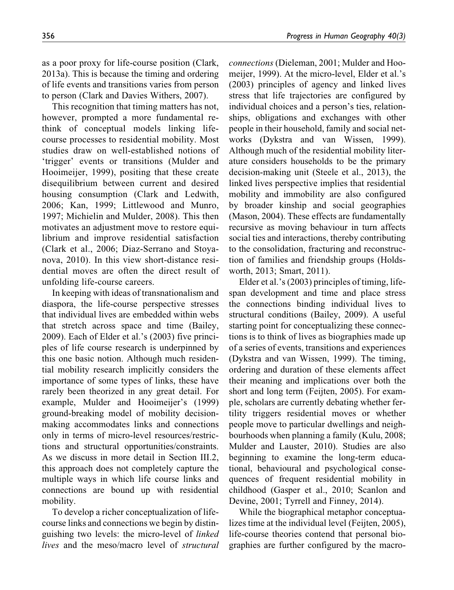as a poor proxy for life-course position (Clark, 2013a). This is because the timing and ordering of life events and transitions varies from person to person (Clark and Davies Withers, 2007).

This recognition that timing matters has not, however, prompted a more fundamental rethink of conceptual models linking lifecourse processes to residential mobility. Most studies draw on well-established notions of 'trigger' events or transitions (Mulder and Hooimeijer, 1999), positing that these create disequilibrium between current and desired housing consumption (Clark and Ledwith, 2006; Kan, 1999; Littlewood and Munro, 1997; Michielin and Mulder, 2008). This then motivates an adjustment move to restore equilibrium and improve residential satisfaction (Clark et al., 2006; Diaz-Serrano and Stoyanova, 2010). In this view short-distance residential moves are often the direct result of unfolding life-course careers.

In keeping with ideas of transnationalism and diaspora, the life-course perspective stresses that individual lives are embedded within webs that stretch across space and time (Bailey, 2009). Each of Elder et al.'s (2003) five principles of life course research is underpinned by this one basic notion. Although much residential mobility research implicitly considers the importance of some types of links, these have rarely been theorized in any great detail. For example, Mulder and Hooimeijer's (1999) ground-breaking model of mobility decisionmaking accommodates links and connections only in terms of micro-level resources/restrictions and structural opportunities/constraints. As we discuss in more detail in Section III.2, this approach does not completely capture the multiple ways in which life course links and connections are bound up with residential mobility.

To develop a richer conceptualization of lifecourse links and connections we begin by distinguishing two levels: the micro-level of linked lives and the meso/macro level of structural

connections (Dieleman, 2001; Mulder and Hoomeijer, 1999). At the micro-level, Elder et al.'s (2003) principles of agency and linked lives stress that life trajectories are configured by individual choices and a person's ties, relationships, obligations and exchanges with other people in their household, family and social networks (Dykstra and van Wissen, 1999). Although much of the residential mobility literature considers households to be the primary decision-making unit (Steele et al., 2013), the linked lives perspective implies that residential mobility and immobility are also configured by broader kinship and social geographies (Mason, 2004). These effects are fundamentally recursive as moving behaviour in turn affects social ties and interactions, thereby contributing to the consolidation, fracturing and reconstruction of families and friendship groups (Holdsworth, 2013; Smart, 2011).

Elder et al.'s (2003) principles of timing, lifespan development and time and place stress the connections binding individual lives to structural conditions (Bailey, 2009). A useful starting point for conceptualizing these connections is to think of lives as biographies made up of a series of events, transitions and experiences (Dykstra and van Wissen, 1999). The timing, ordering and duration of these elements affect their meaning and implications over both the short and long term (Feijten, 2005). For example, scholars are currently debating whether fertility triggers residential moves or whether people move to particular dwellings and neighbourhoods when planning a family (Kulu, 2008; Mulder and Lauster, 2010). Studies are also beginning to examine the long-term educational, behavioural and psychological consequences of frequent residential mobility in childhood (Gasper et al., 2010; Scanlon and Devine, 2001; Tyrrell and Finney, 2014).

While the biographical metaphor conceptualizes time at the individual level (Feijten, 2005), life-course theories contend that personal biographies are further configured by the macro-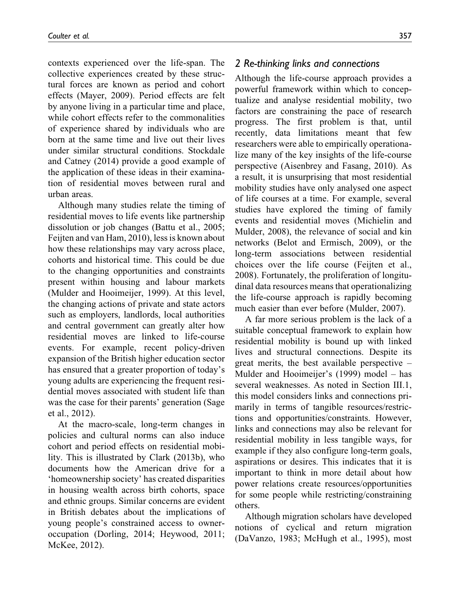contexts experienced over the life-span. The collective experiences created by these structural forces are known as period and cohort effects (Mayer, 2009). Period effects are felt by anyone living in a particular time and place, while cohort effects refer to the commonalities of experience shared by individuals who are born at the same time and live out their lives under similar structural conditions. Stockdale and Catney (2014) provide a good example of the application of these ideas in their examination of residential moves between rural and urban areas.

Although many studies relate the timing of residential moves to life events like partnership dissolution or job changes (Battu et al., 2005; Feijten and van Ham, 2010), less is known about how these relationships may vary across place, cohorts and historical time. This could be due to the changing opportunities and constraints present within housing and labour markets (Mulder and Hooimeijer, 1999). At this level, the changing actions of private and state actors such as employers, landlords, local authorities and central government can greatly alter how residential moves are linked to life-course events. For example, recent policy-driven expansion of the British higher education sector has ensured that a greater proportion of today's young adults are experiencing the frequent residential moves associated with student life than was the case for their parents' generation (Sage et al., 2012).

At the macro-scale, long-term changes in policies and cultural norms can also induce cohort and period effects on residential mobility. This is illustrated by Clark (2013b), who documents how the American drive for a 'homeownership society' has created disparities in housing wealth across birth cohorts, space and ethnic groups. Similar concerns are evident in British debates about the implications of young people's constrained access to owneroccupation (Dorling, 2014; Heywood, 2011; McKee, 2012).

#### 2 Re-thinking links and connections

Although the life-course approach provides a powerful framework within which to conceptualize and analyse residential mobility, two factors are constraining the pace of research progress. The first problem is that, until recently, data limitations meant that few researchers were able to empirically operationalize many of the key insights of the life-course perspective (Aisenbrey and Fasang, 2010). As a result, it is unsurprising that most residential mobility studies have only analysed one aspect of life courses at a time. For example, several studies have explored the timing of family events and residential moves (Michielin and Mulder, 2008), the relevance of social and kin networks (Belot and Ermisch, 2009), or the long-term associations between residential choices over the life course (Feijten et al., 2008). Fortunately, the proliferation of longitudinal data resources means that operationalizing the life-course approach is rapidly becoming much easier than ever before (Mulder, 2007).

A far more serious problem is the lack of a suitable conceptual framework to explain how residential mobility is bound up with linked lives and structural connections. Despite its great merits, the best available perspective – Mulder and Hooimeijer's (1999) model – has several weaknesses. As noted in Section III.1, this model considers links and connections primarily in terms of tangible resources/restrictions and opportunities/constraints. However, links and connections may also be relevant for residential mobility in less tangible ways, for example if they also configure long-term goals, aspirations or desires. This indicates that it is important to think in more detail about how power relations create resources/opportunities for some people while restricting/constraining others.

Although migration scholars have developed notions of cyclical and return migration (DaVanzo, 1983; McHugh et al., 1995), most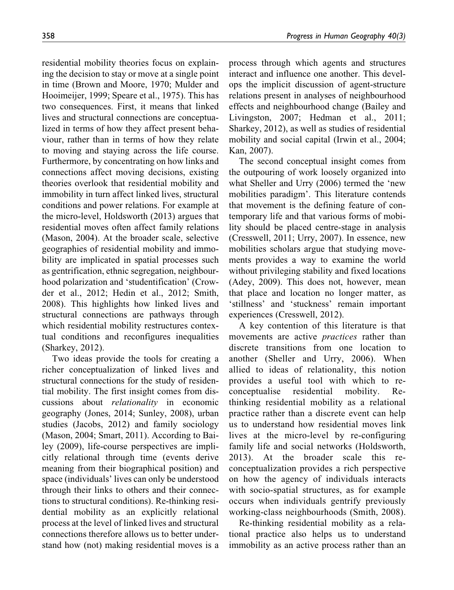residential mobility theories focus on explaining the decision to stay or move at a single point in time (Brown and Moore, 1970; Mulder and Hooimeijer, 1999; Speare et al., 1975). This has two consequences. First, it means that linked lives and structural connections are conceptualized in terms of how they affect present behaviour, rather than in terms of how they relate to moving and staying across the life course. Furthermore, by concentrating on how links and connections affect moving decisions, existing theories overlook that residential mobility and immobility in turn affect linked lives, structural conditions and power relations. For example at the micro-level, Holdsworth (2013) argues that residential moves often affect family relations (Mason, 2004). At the broader scale, selective geographies of residential mobility and immobility are implicated in spatial processes such as gentrification, ethnic segregation, neighbourhood polarization and 'studentification' (Crowder et al., 2012; Hedin et al., 2012; Smith, 2008). This highlights how linked lives and structural connections are pathways through which residential mobility restructures contextual conditions and reconfigures inequalities (Sharkey, 2012).

Two ideas provide the tools for creating a richer conceptualization of linked lives and structural connections for the study of residential mobility. The first insight comes from discussions about relationality in economic geography (Jones, 2014; Sunley, 2008), urban studies (Jacobs, 2012) and family sociology (Mason, 2004; Smart, 2011). According to Bailey (2009), life-course perspectives are implicitly relational through time (events derive meaning from their biographical position) and space (individuals' lives can only be understood through their links to others and their connections to structural conditions). Re-thinking residential mobility as an explicitly relational process at the level of linked lives and structural connections therefore allows us to better understand how (not) making residential moves is a

process through which agents and structures interact and influence one another. This develops the implicit discussion of agent-structure relations present in analyses of neighbourhood effects and neighbourhood change (Bailey and Livingston, 2007; Hedman et al., 2011; Sharkey, 2012), as well as studies of residential mobility and social capital (Irwin et al., 2004; Kan, 2007).

The second conceptual insight comes from the outpouring of work loosely organized into what Sheller and Urry (2006) termed the 'new mobilities paradigm'. This literature contends that movement is the defining feature of contemporary life and that various forms of mobility should be placed centre-stage in analysis (Cresswell, 2011; Urry, 2007). In essence, new mobilities scholars argue that studying movements provides a way to examine the world without privileging stability and fixed locations (Adey, 2009). This does not, however, mean that place and location no longer matter, as 'stillness' and 'stuckness' remain important experiences (Cresswell, 2012).

A key contention of this literature is that movements are active practices rather than discrete transitions from one location to another (Sheller and Urry, 2006). When allied to ideas of relationality, this notion provides a useful tool with which to reconceptualise residential mobility. Rethinking residential mobility as a relational practice rather than a discrete event can help us to understand how residential moves link lives at the micro-level by re-configuring family life and social networks (Holdsworth, 2013). At the broader scale this reconceptualization provides a rich perspective on how the agency of individuals interacts with socio-spatial structures, as for example occurs when individuals gentrify previously working-class neighbourhoods (Smith, 2008).

Re-thinking residential mobility as a relational practice also helps us to understand immobility as an active process rather than an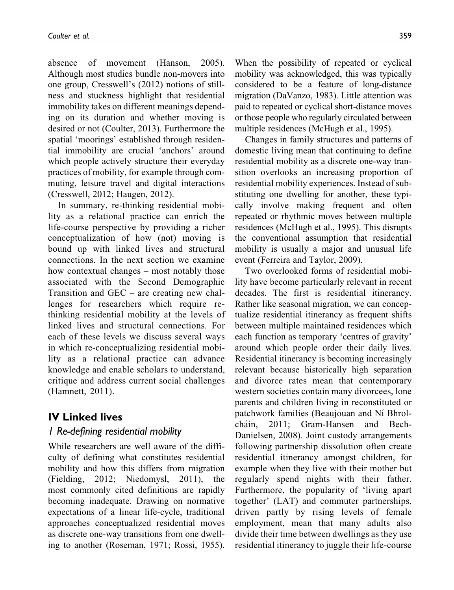absence of movement (Hanson, 2005). Although most studies bundle non-movers into one group, Cresswell's (2012) notions of stillness and stuckness highlight that residential immobility takes on different meanings depending on its duration and whether moving is desired or not (Coulter, 2013). Furthermore the spatial 'moorings' established through residential immobility are crucial 'anchors' around which people actively structure their everyday practices of mobility, for example through commuting, leisure travel and digital interactions (Cresswell, 2012; Haugen, 2012).

In summary, re-thinking residential mobility as a relational practice can enrich the life-course perspective by providing a richer conceptualization of how (not) moving is bound up with linked lives and structural connections. In the next section we examine how contextual changes – most notably those associated with the Second Demographic Transition and GEC – are creating new challenges for researchers which require rethinking residential mobility at the levels of linked lives and structural connections. For each of these levels we discuss several ways in which re-conceptualizing residential mobility as a relational practice can advance knowledge and enable scholars to understand, critique and address current social challenges (Hamnett, 2011).

## IV Linked lives

## 1 Re-defining residential mobility

While researchers are well aware of the difficulty of defining what constitutes residential mobility and how this differs from migration (Fielding, 2012; Niedomysl, 2011), the most commonly cited definitions are rapidly becoming inadequate. Drawing on normative expectations of a linear life-cycle, traditional approaches conceptualized residential moves as discrete one-way transitions from one dwelling to another (Roseman, 1971; Rossi, 1955).

When the possibility of repeated or cyclical mobility was acknowledged, this was typically considered to be a feature of long-distance migration (DaVanzo, 1983). Little attention was paid to repeated or cyclical short-distance moves or those people who regularly circulated between multiple residences (McHugh et al., 1995).

Changes in family structures and patterns of domestic living mean that continuing to define residential mobility as a discrete one-way transition overlooks an increasing proportion of residential mobility experiences. Instead of substituting one dwelling for another, these typically involve making frequent and often repeated or rhythmic moves between multiple residences (McHugh et al., 1995). This disrupts the conventional assumption that residential mobility is usually a major and unusual life event (Ferreira and Taylor, 2009).

Two overlooked forms of residential mobility have become particularly relevant in recent decades. The first is residential itinerancy. Rather like seasonal migration, we can conceptualize residential itinerancy as frequent shifts between multiple maintained residences which each function as temporary 'centres of gravity' around which people order their daily lives. Residential itinerancy is becoming increasingly relevant because historically high separation and divorce rates mean that contemporary western societies contain many divorcees, lone parents and children living in reconstituted or patchwork families (Beaujouan and Ní Bhrolcháin, 2011; Gram-Hansen and Bech-Danielsen, 2008). Joint custody arrangements following partnership dissolution often create residential itinerancy amongst children, for example when they live with their mother but regularly spend nights with their father. Furthermore, the popularity of 'living apart together' (LAT) and commuter partnerships, driven partly by rising levels of female employment, mean that many adults also divide their time between dwellings as they use residential itinerancy to juggle their life-course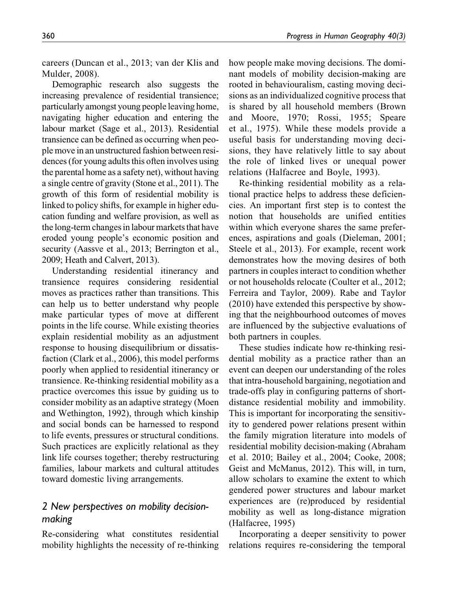careers (Duncan et al., 2013; van der Klis and Mulder, 2008).

Demographic research also suggests the increasing prevalence of residential transience; particularly amongst young people leaving home, navigating higher education and entering the labour market (Sage et al., 2013). Residential transience can be defined as occurring when people move in an unstructured fashion between residences (for young adults this often involves using the parental home as a safety net), without having a single centre of gravity (Stone et al., 2011). The growth of this form of residential mobility is linked to policy shifts, for example in higher education funding and welfare provision, as well as the long-term changes in labour markets that have eroded young people's economic position and security (Aassve et al., 2013; Berrington et al., 2009; Heath and Calvert, 2013).

Understanding residential itinerancy and transience requires considering residential moves as practices rather than transitions. This can help us to better understand why people make particular types of move at different points in the life course. While existing theories explain residential mobility as an adjustment response to housing disequilibrium or dissatisfaction (Clark et al., 2006), this model performs poorly when applied to residential itinerancy or transience. Re-thinking residential mobility as a practice overcomes this issue by guiding us to consider mobility as an adaptive strategy (Moen and Wethington, 1992), through which kinship and social bonds can be harnessed to respond to life events, pressures or structural conditions. Such practices are explicitly relational as they link life courses together; thereby restructuring families, labour markets and cultural attitudes toward domestic living arrangements.

# 2 New perspectives on mobility decisionmaking

Re-considering what constitutes residential mobility highlights the necessity of re-thinking how people make moving decisions. The dominant models of mobility decision-making are rooted in behaviouralism, casting moving decisions as an individualized cognitive process that is shared by all household members (Brown and Moore, 1970; Rossi, 1955; Speare et al., 1975). While these models provide a useful basis for understanding moving decisions, they have relatively little to say about the role of linked lives or unequal power relations (Halfacree and Boyle, 1993).

Re-thinking residential mobility as a relational practice helps to address these deficiencies. An important first step is to contest the notion that households are unified entities within which everyone shares the same preferences, aspirations and goals (Dieleman, 2001; Steele et al., 2013). For example, recent work demonstrates how the moving desires of both partners in couples interact to condition whether or not households relocate (Coulter et al., 2012; Ferreira and Taylor, 2009). Rabe and Taylor (2010) have extended this perspective by showing that the neighbourhood outcomes of moves are influenced by the subjective evaluations of both partners in couples.

These studies indicate how re-thinking residential mobility as a practice rather than an event can deepen our understanding of the roles that intra-household bargaining, negotiation and trade-offs play in configuring patterns of shortdistance residential mobility and immobility. This is important for incorporating the sensitivity to gendered power relations present within the family migration literature into models of residential mobility decision-making (Abraham et al. 2010; Bailey et al., 2004; Cooke, 2008; Geist and McManus, 2012). This will, in turn, allow scholars to examine the extent to which gendered power structures and labour market experiences are (re)produced by residential mobility as well as long-distance migration (Halfacree, 1995)

Incorporating a deeper sensitivity to power relations requires re-considering the temporal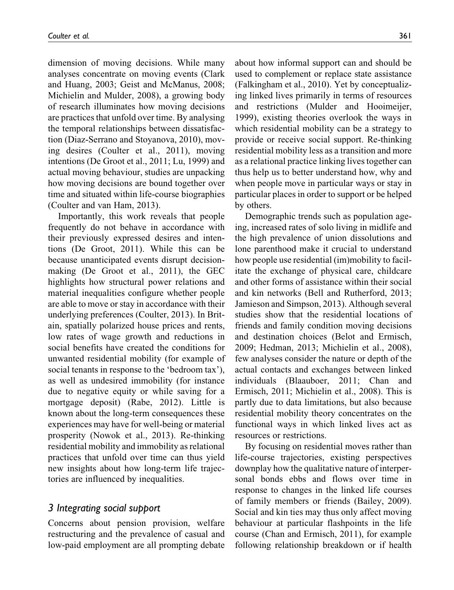dimension of moving decisions. While many analyses concentrate on moving events (Clark and Huang, 2003; Geist and McManus, 2008; Michielin and Mulder, 2008), a growing body of research illuminates how moving decisions are practices that unfold over time. By analysing the temporal relationships between dissatisfaction (Diaz-Serrano and Stoyanova, 2010), moving desires (Coulter et al., 2011), moving intentions (De Groot et al., 2011; Lu, 1999) and actual moving behaviour, studies are unpacking how moving decisions are bound together over time and situated within life-course biographies (Coulter and van Ham, 2013).

Importantly, this work reveals that people frequently do not behave in accordance with their previously expressed desires and intentions (De Groot, 2011). While this can be because unanticipated events disrupt decisionmaking (De Groot et al., 2011), the GEC highlights how structural power relations and material inequalities configure whether people are able to move or stay in accordance with their underlying preferences (Coulter, 2013). In Britain, spatially polarized house prices and rents, low rates of wage growth and reductions in social benefits have created the conditions for unwanted residential mobility (for example of social tenants in response to the 'bedroom tax'), as well as undesired immobility (for instance due to negative equity or while saving for a mortgage deposit) (Rabe, 2012). Little is known about the long-term consequences these experiences may have for well-being or material prosperity (Nowok et al., 2013). Re-thinking residential mobility and immobility as relational practices that unfold over time can thus yield new insights about how long-term life trajectories are influenced by inequalities.

# 3 Integrating social support

Concerns about pension provision, welfare restructuring and the prevalence of casual and low-paid employment are all prompting debate about how informal support can and should be used to complement or replace state assistance (Falkingham et al., 2010). Yet by conceptualizing linked lives primarily in terms of resources and restrictions (Mulder and Hooimeijer, 1999), existing theories overlook the ways in which residential mobility can be a strategy to provide or receive social support. Re-thinking residential mobility less as a transition and more as a relational practice linking lives together can thus help us to better understand how, why and when people move in particular ways or stay in particular places in order to support or be helped by others.

Demographic trends such as population ageing, increased rates of solo living in midlife and the high prevalence of union dissolutions and lone parenthood make it crucial to understand how people use residential (im)mobility to facilitate the exchange of physical care, childcare and other forms of assistance within their social and kin networks (Bell and Rutherford, 2013; Jamieson and Simpson, 2013). Although several studies show that the residential locations of friends and family condition moving decisions and destination choices (Belot and Ermisch, 2009; Hedman, 2013; Michielin et al., 2008), few analyses consider the nature or depth of the actual contacts and exchanges between linked individuals (Blaauboer, 2011; Chan and Ermisch, 2011; Michielin et al., 2008). This is partly due to data limitations, but also because residential mobility theory concentrates on the functional ways in which linked lives act as resources or restrictions.

By focusing on residential moves rather than life-course trajectories, existing perspectives downplay how the qualitative nature of interpersonal bonds ebbs and flows over time in response to changes in the linked life courses of family members or friends (Bailey, 2009). Social and kin ties may thus only affect moving behaviour at particular flashpoints in the life course (Chan and Ermisch, 2011), for example following relationship breakdown or if health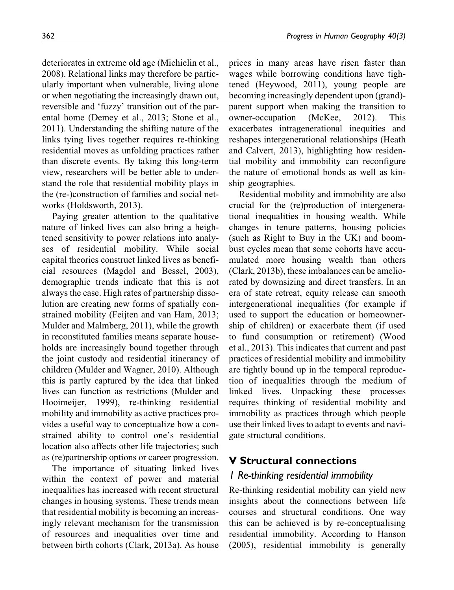deteriorates in extreme old age (Michielin et al., 2008). Relational links may therefore be particularly important when vulnerable, living alone or when negotiating the increasingly drawn out, reversible and 'fuzzy' transition out of the parental home (Demey et al., 2013; Stone et al., 2011). Understanding the shifting nature of the links tying lives together requires re-thinking residential moves as unfolding practices rather than discrete events. By taking this long-term view, researchers will be better able to understand the role that residential mobility plays in the (re-)construction of families and social networks (Holdsworth, 2013).

Paying greater attention to the qualitative nature of linked lives can also bring a heightened sensitivity to power relations into analyses of residential mobility. While social capital theories construct linked lives as beneficial resources (Magdol and Bessel, 2003), demographic trends indicate that this is not always the case. High rates of partnership dissolution are creating new forms of spatially constrained mobility (Feijten and van Ham, 2013; Mulder and Malmberg, 2011), while the growth in reconstituted families means separate households are increasingly bound together through the joint custody and residential itinerancy of children (Mulder and Wagner, 2010). Although this is partly captured by the idea that linked lives can function as restrictions (Mulder and Hooimeijer, 1999), re-thinking residential mobility and immobility as active practices provides a useful way to conceptualize how a constrained ability to control one's residential location also affects other life trajectories; such as (re)partnership options or career progression.

The importance of situating linked lives within the context of power and material inequalities has increased with recent structural changes in housing systems. These trends mean that residential mobility is becoming an increasingly relevant mechanism for the transmission of resources and inequalities over time and between birth cohorts (Clark, 2013a). As house

prices in many areas have risen faster than wages while borrowing conditions have tightened (Heywood, 2011), young people are becoming increasingly dependent upon (grand) parent support when making the transition to owner-occupation (McKee, 2012). This exacerbates intragenerational inequities and reshapes intergenerational relationships (Heath and Calvert, 2013), highlighting how residential mobility and immobility can reconfigure the nature of emotional bonds as well as kinship geographies.

Residential mobility and immobility are also crucial for the (re)production of intergenerational inequalities in housing wealth. While changes in tenure patterns, housing policies (such as Right to Buy in the UK) and boombust cycles mean that some cohorts have accumulated more housing wealth than others (Clark, 2013b), these imbalances can be ameliorated by downsizing and direct transfers. In an era of state retreat, equity release can smooth intergenerational inequalities (for example if used to support the education or homeownership of children) or exacerbate them (if used to fund consumption or retirement) (Wood et al., 2013). This indicates that current and past practices of residential mobility and immobility are tightly bound up in the temporal reproduction of inequalities through the medium of linked lives. Unpacking these processes requires thinking of residential mobility and immobility as practices through which people use their linked lives to adapt to events and navigate structural conditions.

## V Structural connections

#### 1 Re-thinking residential immobility

Re-thinking residential mobility can yield new insights about the connections between life courses and structural conditions. One way this can be achieved is by re-conceptualising residential immobility. According to Hanson (2005), residential immobility is generally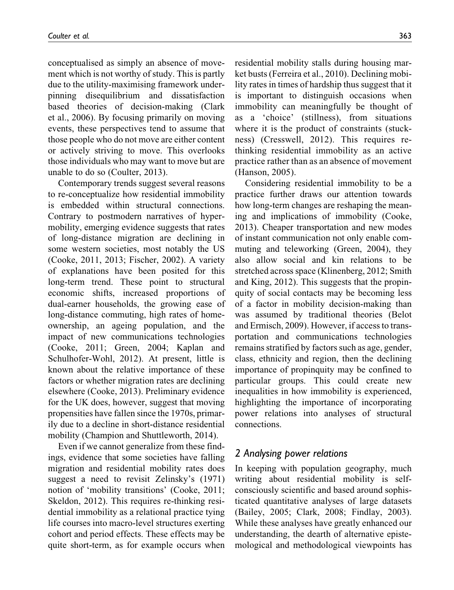conceptualised as simply an absence of movement which is not worthy of study. This is partly due to the utility-maximising framework underpinning disequilibrium and dissatisfaction based theories of decision-making (Clark et al., 2006). By focusing primarily on moving events, these perspectives tend to assume that those people who do not move are either content or actively striving to move. This overlooks those individuals who may want to move but are unable to do so (Coulter, 2013).

Contemporary trends suggest several reasons to re-conceptualize how residential immobility is embedded within structural connections. Contrary to postmodern narratives of hypermobility, emerging evidence suggests that rates of long-distance migration are declining in some western societies, most notably the US (Cooke, 2011, 2013; Fischer, 2002). A variety of explanations have been posited for this long-term trend. These point to structural economic shifts, increased proportions of dual-earner households, the growing ease of long-distance commuting, high rates of homeownership, an ageing population, and the impact of new communications technologies (Cooke, 2011; Green, 2004; Kaplan and Schulhofer-Wohl, 2012). At present, little is known about the relative importance of these factors or whether migration rates are declining elsewhere (Cooke, 2013). Preliminary evidence for the UK does, however, suggest that moving propensities have fallen since the 1970s, primarily due to a decline in short-distance residential mobility (Champion and Shuttleworth, 2014).

Even if we cannot generalize from these findings, evidence that some societies have falling migration and residential mobility rates does suggest a need to revisit Zelinsky's (1971) notion of 'mobility transitions' (Cooke, 2011; Skeldon, 2012). This requires re-thinking residential immobility as a relational practice tying life courses into macro-level structures exerting cohort and period effects. These effects may be quite short-term, as for example occurs when residential mobility stalls during housing market busts (Ferreira et al., 2010). Declining mobility rates in times of hardship thus suggest that it is important to distinguish occasions when immobility can meaningfully be thought of as a 'choice' (stillness), from situations where it is the product of constraints (stuckness) (Cresswell, 2012). This requires rethinking residential immobility as an active practice rather than as an absence of movement (Hanson, 2005).

Considering residential immobility to be a practice further draws our attention towards how long-term changes are reshaping the meaning and implications of immobility (Cooke, 2013). Cheaper transportation and new modes of instant communication not only enable commuting and teleworking (Green, 2004), they also allow social and kin relations to be stretched across space (Klinenberg, 2012; Smith and King, 2012). This suggests that the propinquity of social contacts may be becoming less of a factor in mobility decision-making than was assumed by traditional theories (Belot and Ermisch, 2009). However, if access to transportation and communications technologies remains stratified by factors such as age, gender, class, ethnicity and region, then the declining importance of propinquity may be confined to particular groups. This could create new inequalities in how immobility is experienced, highlighting the importance of incorporating power relations into analyses of structural connections.

## 2 Analysing power relations

In keeping with population geography, much writing about residential mobility is selfconsciously scientific and based around sophisticated quantitative analyses of large datasets (Bailey, 2005; Clark, 2008; Findlay, 2003). While these analyses have greatly enhanced our understanding, the dearth of alternative epistemological and methodological viewpoints has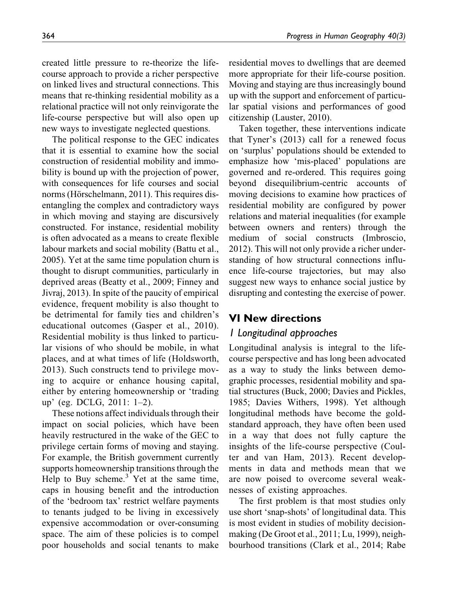created little pressure to re-theorize the lifecourse approach to provide a richer perspective on linked lives and structural connections. This means that re-thinking residential mobility as a relational practice will not only reinvigorate the life-course perspective but will also open up new ways to investigate neglected questions.

The political response to the GEC indicates that it is essential to examine how the social construction of residential mobility and immobility is bound up with the projection of power, with consequences for life courses and social norms (Hörschelmann, 2011). This requires disentangling the complex and contradictory ways in which moving and staying are discursively constructed. For instance, residential mobility is often advocated as a means to create flexible labour markets and social mobility (Battu et al., 2005). Yet at the same time population churn is thought to disrupt communities, particularly in deprived areas (Beatty et al., 2009; Finney and Jivraj, 2013). In spite of the paucity of empirical evidence, frequent mobility is also thought to be detrimental for family ties and children's educational outcomes (Gasper et al., 2010). Residential mobility is thus linked to particular visions of who should be mobile, in what places, and at what times of life (Holdsworth, 2013). Such constructs tend to privilege moving to acquire or enhance housing capital, either by entering homeownership or 'trading up' (eg. DCLG, 2011: 1–2).

These notions affect individuals through their impact on social policies, which have been heavily restructured in the wake of the GEC to privilege certain forms of moving and staying. For example, the British government currently supports homeownership transitions through the Help to Buy scheme. $3$  Yet at the same time, caps in housing benefit and the introduction of the 'bedroom tax' restrict welfare payments to tenants judged to be living in excessively expensive accommodation or over-consuming space. The aim of these policies is to compel poor households and social tenants to make

residential moves to dwellings that are deemed more appropriate for their life-course position. Moving and staying are thus increasingly bound up with the support and enforcement of particular spatial visions and performances of good citizenship (Lauster, 2010).

Taken together, these interventions indicate that Tyner's (2013) call for a renewed focus on 'surplus' populations should be extended to emphasize how 'mis-placed' populations are governed and re-ordered. This requires going beyond disequilibrium-centric accounts of moving decisions to examine how practices of residential mobility are configured by power relations and material inequalities (for example between owners and renters) through the medium of social constructs (Imbroscio, 2012). This will not only provide a richer understanding of how structural connections influence life-course trajectories, but may also suggest new ways to enhance social justice by disrupting and contesting the exercise of power.

# VI New directions

## 1 Longitudinal approaches

Longitudinal analysis is integral to the lifecourse perspective and has long been advocated as a way to study the links between demographic processes, residential mobility and spatial structures (Buck, 2000; Davies and Pickles, 1985; Davies Withers, 1998). Yet although longitudinal methods have become the goldstandard approach, they have often been used in a way that does not fully capture the insights of the life-course perspective (Coulter and van Ham, 2013). Recent developments in data and methods mean that we are now poised to overcome several weaknesses of existing approaches.

The first problem is that most studies only use short 'snap-shots' of longitudinal data. This is most evident in studies of mobility decisionmaking (De Groot et al., 2011; Lu, 1999), neighbourhood transitions (Clark et al., 2014; Rabe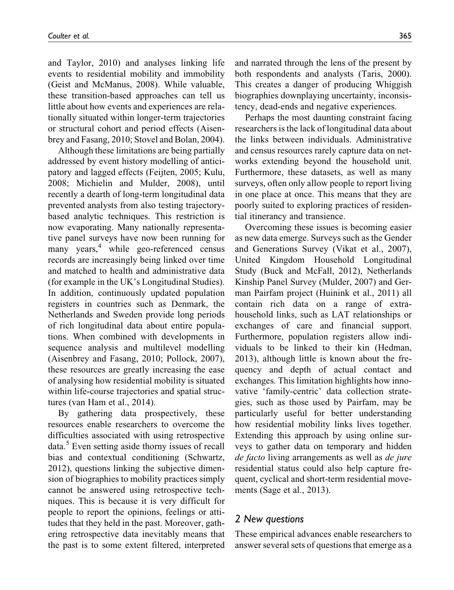and Taylor, 2010) and analyses linking life events to residential mobility and immobility (Geist and McManus, 2008). While valuable, these transition-based approaches can tell us little about how events and experiences are relationally situated within longer-term trajectories or structural cohort and period effects (Aisenbrey and Fasang, 2010; Stovel and Bolan, 2004).

Although these limitations are being partially addressed by event history modelling of anticipatory and lagged effects (Feijten, 2005; Kulu, 2008; Michielin and Mulder, 2008), until recently a dearth of long-term longitudinal data prevented analysts from also testing trajectorybased analytic techniques. This restriction is now evaporating. Many nationally representative panel surveys have now been running for many years,<sup>4</sup> while geo-referenced census records are increasingly being linked over time and matched to health and administrative data (for example in the UK's Longitudinal Studies). In addition, continuously updated population registers in countries such as Denmark, the Netherlands and Sweden provide long periods of rich longitudinal data about entire populations. When combined with developments in sequence analysis and multilevel modelling (Aisenbrey and Fasang, 2010; Pollock, 2007), these resources are greatly increasing the ease of analysing how residential mobility is situated within life-course trajectories and spatial structures (van Ham et al., 2014).

By gathering data prospectively, these resources enable researchers to overcome the difficulties associated with using retrospective data.<sup>5</sup> Even setting aside thorny issues of recall bias and contextual conditioning (Schwartz, 2012), questions linking the subjective dimension of biographies to mobility practices simply cannot be answered using retrospective techniques. This is because it is very difficult for people to report the opinions, feelings or attitudes that they held in the past. Moreover, gathering retrospective data inevitably means that the past is to some extent filtered, interpreted and narrated through the lens of the present by both respondents and analysts (Taris, 2000). This creates a danger of producing Whiggish biographies downplaying uncertainty, inconsistency, dead-ends and negative experiences.

Perhaps the most daunting constraint facing researchers is the lack of longitudinal data about the links between individuals. Administrative and census resources rarely capture data on networks extending beyond the household unit. Furthermore, these datasets, as well as many surveys, often only allow people to report living in one place at once. This means that they are poorly suited to exploring practices of residential itinerancy and transience.

Overcoming these issues is becoming easier as new data emerge. Surveys such as the Gender and Generations Survey (Vikat et al., 2007), United Kingdom Household Longitudinal Study (Buck and McFall, 2012), Netherlands Kinship Panel Survey (Mulder, 2007) and German Pairfam project (Huinink et al., 2011) all contain rich data on a range of extrahousehold links, such as LAT relationships or exchanges of care and financial support. Furthermore, population registers allow individuals to be linked to their kin (Hedman, 2013), although little is known about the frequency and depth of actual contact and exchanges. This limitation highlights how innovative 'family-centric' data collection strategies, such as those used by Pairfam, may be particularly useful for better understanding how residential mobility links lives together. Extending this approach by using online surveys to gather data on temporary and hidden de facto living arrangements as well as de jure residential status could also help capture frequent, cyclical and short-term residential movements (Sage et al., 2013).

#### 2 New questions

These empirical advances enable researchers to answer several sets of questions that emerge as a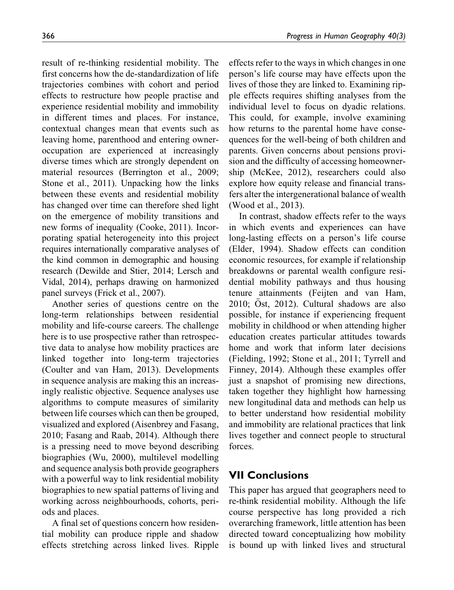result of re-thinking residential mobility. The first concerns how the de-standardization of life trajectories combines with cohort and period effects to restructure how people practise and experience residential mobility and immobility in different times and places. For instance, contextual changes mean that events such as leaving home, parenthood and entering owneroccupation are experienced at increasingly diverse times which are strongly dependent on material resources (Berrington et al., 2009; Stone et al., 2011). Unpacking how the links between these events and residential mobility has changed over time can therefore shed light on the emergence of mobility transitions and new forms of inequality (Cooke, 2011). Incorporating spatial heterogeneity into this project requires internationally comparative analyses of the kind common in demographic and housing research (Dewilde and Stier, 2014; Lersch and Vidal, 2014), perhaps drawing on harmonized panel surveys (Frick et al., 2007).

Another series of questions centre on the long-term relationships between residential mobility and life-course careers. The challenge here is to use prospective rather than retrospective data to analyse how mobility practices are linked together into long-term trajectories (Coulter and van Ham, 2013). Developments in sequence analysis are making this an increasingly realistic objective. Sequence analyses use algorithms to compute measures of similarity between life courses which can then be grouped, visualized and explored (Aisenbrey and Fasang, 2010; Fasang and Raab, 2014). Although there is a pressing need to move beyond describing biographies (Wu, 2000), multilevel modelling and sequence analysis both provide geographers with a powerful way to link residential mobility biographies to new spatial patterns of living and working across neighbourhoods, cohorts, periods and places.

A final set of questions concern how residential mobility can produce ripple and shadow effects stretching across linked lives. Ripple effects refer to the ways in which changes in one person's life course may have effects upon the lives of those they are linked to. Examining ripple effects requires shifting analyses from the individual level to focus on dyadic relations. This could, for example, involve examining how returns to the parental home have consequences for the well-being of both children and parents. Given concerns about pensions provision and the difficulty of accessing homeownership (McKee, 2012), researchers could also explore how equity release and financial transfers alter the intergenerational balance of wealth (Wood et al., 2013).

In contrast, shadow effects refer to the ways in which events and experiences can have long-lasting effects on a person's life course (Elder, 1994). Shadow effects can condition economic resources, for example if relationship breakdowns or parental wealth configure residential mobility pathways and thus housing tenure attainments (Feijten and van Ham,  $2010$ ; Öst,  $2012$ ). Cultural shadows are also possible, for instance if experiencing frequent mobility in childhood or when attending higher education creates particular attitudes towards home and work that inform later decisions (Fielding, 1992; Stone et al., 2011; Tyrrell and Finney, 2014). Although these examples offer just a snapshot of promising new directions, taken together they highlight how harnessing new longitudinal data and methods can help us to better understand how residential mobility and immobility are relational practices that link lives together and connect people to structural forces.

# VII Conclusions

This paper has argued that geographers need to re-think residential mobility. Although the life course perspective has long provided a rich overarching framework, little attention has been directed toward conceptualizing how mobility is bound up with linked lives and structural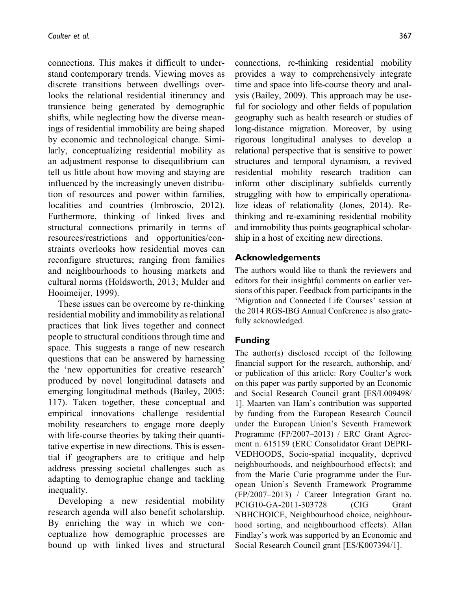connections. This makes it difficult to understand contemporary trends. Viewing moves as discrete transitions between dwellings overlooks the relational residential itinerancy and transience being generated by demographic shifts, while neglecting how the diverse meanings of residential immobility are being shaped by economic and technological change. Similarly, conceptualizing residential mobility as an adjustment response to disequilibrium can tell us little about how moving and staying are influenced by the increasingly uneven distribution of resources and power within families, localities and countries (Imbroscio, 2012). Furthermore, thinking of linked lives and structural connections primarily in terms of resources/restrictions and opportunities/constraints overlooks how residential moves can reconfigure structures; ranging from families and neighbourhoods to housing markets and cultural norms (Holdsworth, 2013; Mulder and Hooimeijer, 1999).

These issues can be overcome by re-thinking residential mobility and immobility as relational practices that link lives together and connect people to structural conditions through time and space. This suggests a range of new research questions that can be answered by harnessing the 'new opportunities for creative research' produced by novel longitudinal datasets and emerging longitudinal methods (Bailey, 2005: 117). Taken together, these conceptual and empirical innovations challenge residential mobility researchers to engage more deeply with life-course theories by taking their quantitative expertise in new directions. This is essential if geographers are to critique and help address pressing societal challenges such as adapting to demographic change and tackling inequality.

Developing a new residential mobility research agenda will also benefit scholarship. By enriching the way in which we conceptualize how demographic processes are bound up with linked lives and structural connections, re-thinking residential mobility provides a way to comprehensively integrate time and space into life-course theory and analysis (Bailey, 2009). This approach may be useful for sociology and other fields of population geography such as health research or studies of long-distance migration. Moreover, by using rigorous longitudinal analyses to develop a relational perspective that is sensitive to power structures and temporal dynamism, a revived residential mobility research tradition can inform other disciplinary subfields currently struggling with how to empirically operationalize ideas of relationality (Jones, 2014). Rethinking and re-examining residential mobility and immobility thus points geographical scholarship in a host of exciting new directions.

#### Acknowledgements

The authors would like to thank the reviewers and editors for their insightful comments on earlier versions of this paper. Feedback from participants in the 'Migration and Connected Life Courses' session at the 2014 RGS-IBG Annual Conference is also gratefully acknowledged.

#### Funding

The author(s) disclosed receipt of the following financial support for the research, authorship, and/ or publication of this article: Rory Coulter's work on this paper was partly supported by an Economic and Social Research Council grant [ES/L009498/ 1]. Maarten van Ham's contribution was supported by funding from the European Research Council under the European Union's Seventh Framework Programme (FP/2007–2013) / ERC Grant Agreement n. 615159 (ERC Consolidator Grant DEPRI-VEDHOODS, Socio-spatial inequality, deprived neighbourhoods, and neighbourhood effects); and from the Marie Curie programme under the European Union's Seventh Framework Programme (FP/2007–2013) / Career Integration Grant no. PCIG10-GA-2011-303728 (CIG Grant NBHCHOICE, Neighbourhood choice, neighbourhood sorting, and neighbourhood effects). Allan Findlay's work was supported by an Economic and Social Research Council grant [ES/K007394/1].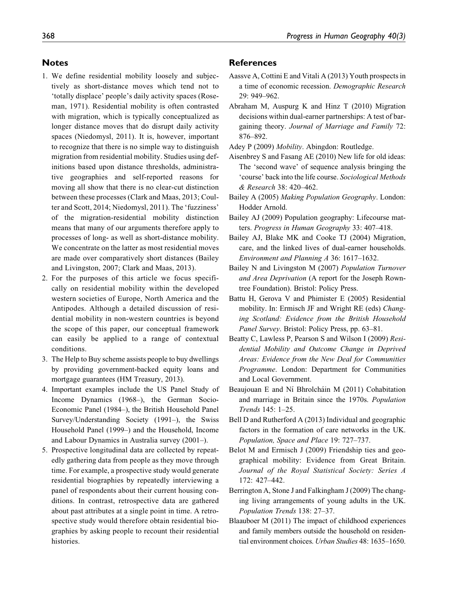#### Notes

- 1. We define residential mobility loosely and subjectively as short-distance moves which tend not to 'totally displace' people's daily activity spaces (Roseman, 1971). Residential mobility is often contrasted with migration, which is typically conceptualized as longer distance moves that do disrupt daily activity spaces (Niedomysl, 2011). It is, however, important to recognize that there is no simple way to distinguish migration from residential mobility. Studies using definitions based upon distance thresholds, administrative geographies and self-reported reasons for moving all show that there is no clear-cut distinction between these processes (Clark and Maas, 2013; Coulter and Scott, 2014; Niedomysl, 2011). The 'fuzziness' of the migration-residential mobility distinction means that many of our arguments therefore apply to processes of long- as well as short-distance mobility. We concentrate on the latter as most residential moves are made over comparatively short distances (Bailey and Livingston, 2007; Clark and Maas, 2013).
- 2. For the purposes of this article we focus specifically on residential mobility within the developed western societies of Europe, North America and the Antipodes. Although a detailed discussion of residential mobility in non-western countries is beyond the scope of this paper, our conceptual framework can easily be applied to a range of contextual conditions.
- 3. The Help to Buy scheme assists people to buy dwellings by providing government-backed equity loans and mortgage guarantees (HM Treasury, 2013).
- 4. Important examples include the US Panel Study of Income Dynamics (1968–), the German Socio-Economic Panel (1984–), the British Household Panel Survey/Understanding Society (1991–), the Swiss Household Panel (1999–) and the Household, Income and Labour Dynamics in Australia survey (2001–).
- 5. Prospective longitudinal data are collected by repeatedly gathering data from people as they move through time. For example, a prospective study would generate residential biographies by repeatedly interviewing a panel of respondents about their current housing conditions. In contrast, retrospective data are gathered about past attributes at a single point in time. A retrospective study would therefore obtain residential biographies by asking people to recount their residential histories.

#### References

- Aassve A, Cottini E and Vitali A (2013) Youth prospects in a time of economic recession. Demographic Research 29: 949–962.
- Abraham M, Auspurg K and Hinz T (2010) Migration decisions within dual-earner partnerships: A test of bargaining theory. Journal of Marriage and Family 72: 876–892.
- Adey P (2009) Mobility. Abingdon: Routledge.
- Aisenbrey S and Fasang AE (2010) New life for old ideas: The 'second wave' of sequence analysis bringing the 'course' back into the life course. Sociological Methods & Research 38: 420–462.
- Bailey A (2005) Making Population Geography. London: Hodder Arnold.
- Bailey AJ (2009) Population geography: Lifecourse matters. Progress in Human Geography 33: 407–418.
- Bailey AJ, Blake MK and Cooke TJ (2004) Migration, care, and the linked lives of dual-earner households. Environment and Planning A 36: 1617–1632.
- Bailey N and Livingston M (2007) Population Turnover and Area Deprivation (A report for the Joseph Rowntree Foundation). Bristol: Policy Press.
- Battu H, Gerova V and Phimister E (2005) Residential mobility. In: Ermisch JF and Wright RE (eds) Changing Scotland: Evidence from the British Household Panel Survey. Bristol: Policy Press, pp. 63–81.
- Beatty C, Lawless P, Pearson S and Wilson I (2009) Residential Mobility and Outcome Change in Deprived Areas: Evidence from the New Deal for Communities Programme. London: Department for Communities and Local Government.
- Beaujouan E and Ní Bhrolcháin M (2011) Cohabitation and marriage in Britain since the 1970s. Population Trends 145: 1–25.
- Bell D and Rutherford A (2013) Individual and geographic factors in the formation of care networks in the UK. Population, Space and Place 19: 727–737.
- Belot M and Ermisch J (2009) Friendship ties and geographical mobility: Evidence from Great Britain. Journal of the Royal Statistical Society: Series A 172: 427–442.
- Berrington A, Stone J and Falkingham J (2009) The changing living arrangements of young adults in the UK. Population Trends 138: 27–37.
- Blaauboer M (2011) The impact of childhood experiences and family members outside the household on residential environment choices. Urban Studies 48: 1635–1650.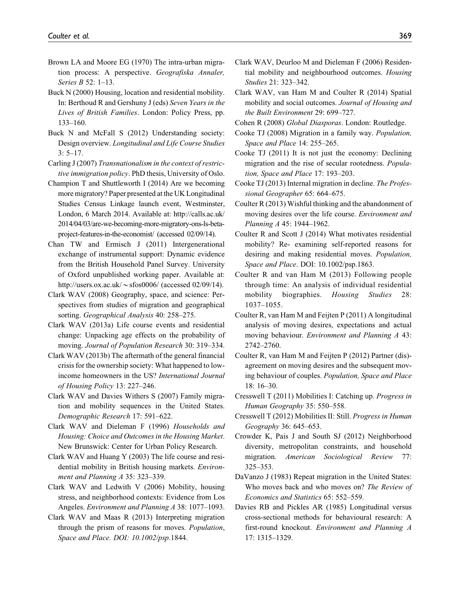- Brown LA and Moore EG (1970) The intra-urban migration process: A perspective. Geografiska Annaler, Series B 52: 1–13.
- Buck N (2000) Housing, location and residential mobility. In: Berthoud R and Gershuny J (eds) Seven Years in the Lives of British Families. London: Policy Press, pp. 133–160.
- Buck N and McFall S (2012) Understanding society: Design overview. Longitudinal and Life Course Studies 3: 5–17.
- Carling J (2007) Transnationalism in the context of restrictive immigration policy. PhD thesis, University of Oslo.
- Champion T and Shuttleworth I (2014) Are we becoming more migratory? Paper presented at the UK Longitudinal Studies Census Linkage launch event, Westminster, London, 6 March 2014. Available at: [http://calls.ac.uk/](http://calls.ac.uk/2014/04/03/are-we-becoming-more-migratory-ons-ls-beta-project-features-in-the-economist/) [2014/04/03/are-we-becoming-more-migratory-ons-ls-beta](http://calls.ac.uk/2014/04/03/are-we-becoming-more-migratory-ons-ls-beta-project-features-in-the-economist/)[project-features-in-the-economist/](http://calls.ac.uk/2014/04/03/are-we-becoming-more-migratory-ons-ls-beta-project-features-in-the-economist/) (accessed 02/09/14).
- Chan TW and Ermisch J (2011) Intergenerational exchange of instrumental support: Dynamic evidence from the British Household Panel Survey. University of Oxford unpublished working paper. Available at: [http://users.ox.ac.uk/](http://users.ox.ac.uk/˜sfos0006/) $\sim$ [sfos0006/](http://users.ox.ac.uk/˜sfos0006/) (accessed 02/09/14).
- Clark WAV (2008) Geography, space, and science: Perspectives from studies of migration and geographical sorting. Geographical Analysis 40: 258–275.
- Clark WAV (2013a) Life course events and residential change: Unpacking age effects on the probability of moving. Journal of Population Research 30: 319–334.
- Clark WAV (2013b) The aftermath of the general financial crisis for the ownership society: What happened to lowincome homeowners in the US? International Journal of Housing Policy 13: 227–246.
- Clark WAV and Davies Withers S (2007) Family migration and mobility sequences in the United States. Demographic Research 17: 591–622.
- Clark WAV and Dieleman F (1996) Households and Housing: Choice and Outcomes in the Housing Market. New Brunswick: Center for Urban Policy Research.
- Clark WAV and Huang Y (2003) The life course and residential mobility in British housing markets. Environment and Planning A 35: 323-339.
- Clark WAV and Ledwith V (2006) Mobility, housing stress, and neighborhood contexts: Evidence from Los Angeles. Environment and Planning A 38: 1077–1093.
- Clark WAV and Maas R (2013) Interpreting migration through the prism of reasons for moves. Population, Space and Place. DOI: 10.1002/psp.1844.
- Clark WAV, Deurloo M and Dieleman F (2006) Residential mobility and neighbourhood outcomes. Housing Studies 21: 323–342.
- Clark WAV, van Ham M and Coulter R (2014) Spatial mobility and social outcomes. Journal of Housing and the Built Environment 29: 699–727.
- Cohen R (2008) Global Diasporas. London: Routledge.
- Cooke TJ (2008) Migration in a family way. Population, Space and Place 14: 255–265.
- Cooke TJ (2011) It is not just the economy: Declining migration and the rise of secular rootedness. Population, Space and Place 17: 193–203.
- Cooke TJ (2013) Internal migration in decline. The Professional Geographer 65: 664–675.
- Coulter R (2013) Wishful thinking and the abandonment of moving desires over the life course. Environment and Planning A 45: 1944–1962.
- Coulter R and Scott J (2014) What motivates residential mobility? Re- examining self-reported reasons for desiring and making residential moves. Population, Space and Place. DOI: 10.1002/psp.1863.
- Coulter R and van Ham M (2013) Following people through time: An analysis of individual residential mobility biographies. Housing Studies 28: 1037–1055.
- Coulter R, van Ham M and Feijten P (2011) A longitudinal analysis of moving desires, expectations and actual moving behaviour. Environment and Planning A 43: 2742–2760.
- Coulter R, van Ham M and Feijten P (2012) Partner (dis) agreement on moving desires and the subsequent moving behaviour of couples. Population, Space and Place 18: 16–30.
- Cresswell T (2011) Mobilities I: Catching up. Progress in Human Geography 35: 550–558.
- Cresswell T (2012) Mobilities II: Still. Progress in Human Geography 36: 645–653.
- Crowder K, Pais J and South SJ (2012) Neighborhood diversity, metropolitan constraints, and household migration. American Sociological Review 77: 325–353.
- DaVanzo J (1983) Repeat migration in the United States: Who moves back and who moves on? The Review of Economics and Statistics 65: 552–559.
- Davies RB and Pickles AR (1985) Longitudinal versus cross-sectional methods for behavioural research: A first-round knockout. Environment and Planning A 17: 1315–1329.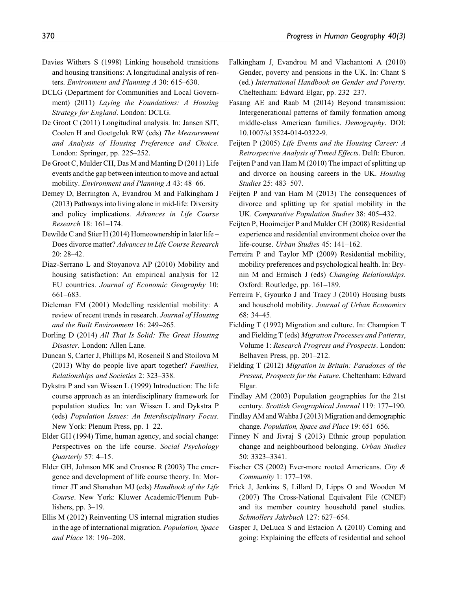- Davies Withers S (1998) Linking household transitions and housing transitions: A longitudinal analysis of renters. Environment and Planning A 30: 615–630.
- DCLG (Department for Communities and Local Government) (2011) Laying the Foundations: A Housing Strategy for England. London: DCLG.
- De Groot C (2011) Longitudinal analysis. In: Jansen SJT, Coolen H and Goetgeluk RW (eds) The Measurement and Analysis of Housing Preference and Choice. London: Springer, pp. 225–252.
- De Groot C, Mulder CH, Das M and Manting D (2011) Life events and the gap between intention to move and actual mobility. Environment and Planning A 43: 48–66.
- Demey D, Berrington A, Evandrou M and Falkingham J (2013) Pathways into living alone in mid-life: Diversity and policy implications. Advances in Life Course Research 18: 161–174.
- Dewilde C and Stier H (2014) Homeownership in later life Does divorce matter? Advances in Life Course Research 20: 28–42.
- Diaz-Serrano L and Stoyanova AP (2010) Mobility and housing satisfaction: An empirical analysis for 12 EU countries. Journal of Economic Geography 10: 661–683.
- Dieleman FM (2001) Modelling residential mobility: A review of recent trends in research. Journal of Housing and the Built Environment 16: 249–265.
- Dorling D (2014) All That Is Solid: The Great Housing Disaster. London: Allen Lane.
- Duncan S, Carter J, Phillips M, Roseneil S and Stoilova M (2013) Why do people live apart together? Families, Relationships and Societies 2: 323–338.
- Dykstra P and van Wissen L (1999) Introduction: The life course approach as an interdisciplinary framework for population studies. In: van Wissen L and Dykstra P (eds) Population Issues: An Interdisciplinary Focus. New York: Plenum Press, pp. 1–22.
- Elder GH (1994) Time, human agency, and social change: Perspectives on the life course. Social Psychology Quarterly 57: 4–15.
- Elder GH, Johnson MK and Crosnoe R (2003) The emergence and development of life course theory. In: Mortimer JT and Shanahan MJ (eds) Handbook of the Life Course. New York: Kluwer Academic/Plenum Publishers, pp. 3–19.
- Ellis M (2012) Reinventing US internal migration studies in the age of international migration. Population, Space and Place 18: 196–208.
- Falkingham J, Evandrou M and Vlachantoni A (2010) Gender, poverty and pensions in the UK. In: Chant S (ed.) International Handbook on Gender and Poverty. Cheltenham: Edward Elgar, pp. 232–237.
- Fasang AE and Raab M (2014) Beyond transmission: Intergenerational patterns of family formation among middle-class American families. Demography. DOI: 10.1007/s13524-014-0322-9.
- Feijten P (2005) Life Events and the Housing Career: A Retrospective Analysis of Timed Effects. Delft: Eburon.
- Feijten P and van Ham M (2010) The impact of splitting up and divorce on housing careers in the UK. Housing Studies 25: 483–507.
- Feijten P and van Ham M (2013) The consequences of divorce and splitting up for spatial mobility in the UK. Comparative Population Studies 38: 405–432.
- Feijten P, Hooimeijer P and Mulder CH (2008) Residential experience and residential environment choice over the life-course. Urban Studies 45: 141–162.
- Ferreira P and Taylor MP (2009) Residential mobility, mobility preferences and psychological health. In: Brynin M and Ermisch J (eds) Changing Relationships. Oxford: Routledge, pp. 161–189.
- Ferreira F, Gyourko J and Tracy J (2010) Housing busts and household mobility. Journal of Urban Economics 68: 34–45.
- Fielding T (1992) Migration and culture. In: Champion T and Fielding T (eds) Migration Processes and Patterns, Volume 1: Research Progress and Prospects. London: Belhaven Press, pp. 201–212.
- Fielding T (2012) Migration in Britain: Paradoxes of the Present, Prospects for the Future. Cheltenham: Edward Elgar.
- Findlay AM (2003) Population geographies for the 21st century. Scottish Geographical Journal 119: 177–190.
- Findlay AM and Wahba J (2013) Migration and demographic change. Population, Space and Place 19: 651–656.
- Finney N and Jivraj S (2013) Ethnic group population change and neighbourhood belonging. Urban Studies 50: 3323–3341.
- Fischer CS (2002) Ever-more rooted Americans. City & Community 1: 177–198.
- Frick J, Jenkins S, Lillard D, Lipps O and Wooden M (2007) The Cross-National Equivalent File (CNEF) and its member country household panel studies. Schmollers Jahrbuch 127: 627–654.
- Gasper J, DeLuca S and Estacion A (2010) Coming and going: Explaining the effects of residential and school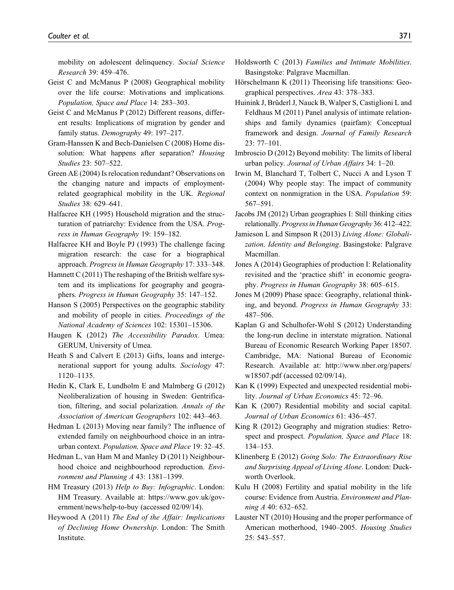mobility on adolescent delinquency. Social Science Research 39: 459–476.

- Geist C and McManus P (2008) Geographical mobility over the life course: Motivations and implications. Population, Space and Place 14: 283–303.
- Geist C and McManus P (2012) Different reasons, different results: Implications of migration by gender and family status. Demography 49: 197–217.
- Gram-Hanssen K and Bech-Danielsen C (2008) Home dissolution: What happens after separation? Housing Studies 23: 507–522.
- Green AE (2004) Is relocation redundant? Observations on the changing nature and impacts of employmentrelated geographical mobility in the UK. Regional Studies 38: 629–641.
- Halfacree KH (1995) Household migration and the structuration of patriarchy: Evidence from the USA. Progress in Human Geography 19: 159–182.
- Halfacree KH and Boyle PJ (1993) The challenge facing migration research: the case for a biographical approach. Progress in Human Geography 17: 333–348.
- Hamnett C (2011) The reshaping of the British welfare system and its implications for geography and geographers. Progress in Human Geography 35: 147–152.
- Hanson S (2005) Perspectives on the geographic stability and mobility of people in cities. Proceedings of the National Academy of Sciences 102: 15301–15306.
- Haugen K (2012) The Accessibility Paradox. Umea: GERUM, University of Umea.
- Heath S and Calvert E (2013) Gifts, loans and intergenerational support for young adults. Sociology 47: 1120–1135.
- Hedin K, Clark E, Lundholm E and Malmberg G (2012) Neoliberalization of housing in Sweden: Gentrification, filtering, and social polarization. Annals of the Association of American Geographers 102: 443–463.
- Hedman L (2013) Moving near family? The influence of extended family on neighbourhood choice in an intraurban context. Population, Space and Place 19: 32–45.
- Hedman L, van Ham M and Manley D (2011) Neighbourhood choice and neighbourhood reproduction. Environment and Planning A 43: 1381–1399.
- HM Treasury (2013) Help to Buy: Infographic. London: HM Treasury. Available at: [https://www.gov.uk/gov](https://www.gov.uk/government/news/help-to-buy)[ernment/news/help-to-buy](https://www.gov.uk/government/news/help-to-buy) (accessed 02/09/14).
- Heywood A (2011) The End of the Affair: Implications of Declining Home Ownership. London: The Smith Institute.
- Holdsworth C (2013) Families and Intimate Mobilities. Basingstoke: Palgrave Macmillan.
- Hörschelmann K (2011) Theorising life transitions: Geographical perspectives. Area 43: 378–383.
- Huinink J, Brüderl J, Nauck B, Walper S, Castiglioni L and Feldhaus M (2011) Panel analysis of intimate relationships and family dynamics (pairfam): Conceptual framework and design. Journal of Family Research 23: 77–101.
- Imbroscio D (2012) Beyond mobility: The limits of liberal urban policy. Journal of Urban Affairs 34: 1–20.
- Irwin M, Blanchard T, Tolbert C, Nucci A and Lyson T (2004) Why people stay: The impact of community context on nonmigration in the USA. Population 59: 567–591.
- Jacobs JM (2012) Urban geographies I: Still thinking cities relationally.Progressin Human Geography 36: 412–422.
- Jamieson L and Simpson R (2013) Living Alone: Globalization, Identity and Belonging. Basingstoke: Palgrave Macmillan.
- Jones A (2014) Geographies of production I: Relationality revisited and the 'practice shift' in economic geography. Progress in Human Geography 38: 605–615.
- Jones M (2009) Phase space: Geography, relational thinking, and beyond. Progress in Human Geography 33: 487–506.
- Kaplan G and Schulhofer-Wohl S (2012) Understanding the long-run decline in interstate migration. National Bureau of Economic Research Working Paper 18507. Cambridge, MA: National Bureau of Economic Research. Available at: [http://www.nber.org/papers/](http://www.nber.org/papers/w18507.pdf) [w18507.pdf](http://www.nber.org/papers/w18507.pdf) (accessed 02/09/14).
- Kan K (1999) Expected and unexpected residential mobility. Journal of Urban Economics 45: 72–96.
- Kan K (2007) Residential mobility and social capital. Journal of Urban Economics 61: 436–457.
- King R (2012) Geography and migration studies: Retrospect and prospect. Population, Space and Place 18: 134–153.
- Klinenberg E (2012) Going Solo: The Extraordinary Rise and Surprising Appeal of Living Alone. London: Duckworth Overlook.
- Kulu H (2008) Fertility and spatial mobility in the life course: Evidence from Austria. Environment and Planning A 40: 632–652.
- Lauster NT (2010) Housing and the proper performance of American motherhood, 1940–2005. Housing Studies 25: 543–557.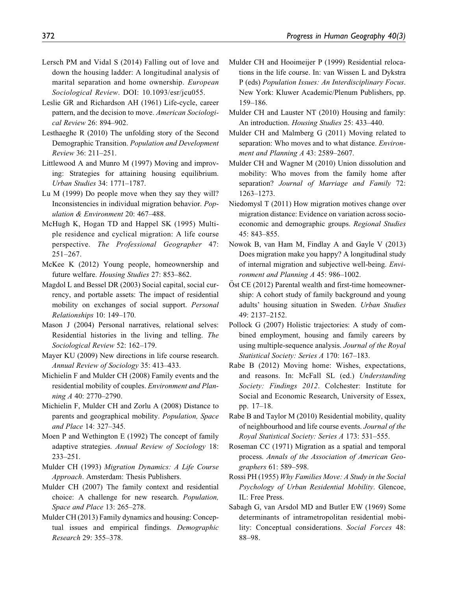- Lersch PM and Vidal S (2014) Falling out of love and down the housing ladder: A longitudinal analysis of marital separation and home ownership. European Sociological Review. DOI: 10.1093/esr/jcu055.
- Leslie GR and Richardson AH (1961) Life-cycle, career pattern, and the decision to move. American Sociological Review 26: 894–902.
- Lesthaeghe R (2010) The unfolding story of the Second Demographic Transition. Population and Development Review 36: 211–251.
- Littlewood A and Munro M (1997) Moving and improving: Strategies for attaining housing equilibrium. Urban Studies 34: 1771–1787.
- Lu M (1999) Do people move when they say they will? Inconsistencies in individual migration behavior. Population & Environment 20: 467–488.
- McHugh K, Hogan TD and Happel SK (1995) Multiple residence and cyclical migration: A life course perspective. The Professional Geographer 47: 251–267.
- McKee K (2012) Young people, homeownership and future welfare. Housing Studies 27: 853–862.
- Magdol L and Bessel DR (2003) Social capital, social currency, and portable assets: The impact of residential mobility on exchanges of social support. Personal Relationships 10: 149–170.
- Mason J (2004) Personal narratives, relational selves: Residential histories in the living and telling. The Sociological Review 52: 162–179.
- Mayer KU (2009) New directions in life course research. Annual Review of Sociology 35: 413–433.
- Michielin F and Mulder CH (2008) Family events and the residential mobility of couples. Environment and Planning A 40: 2770–2790.
- Michielin F, Mulder CH and Zorlu A (2008) Distance to parents and geographical mobility. Population, Space and Place 14: 327–345.
- Moen P and Wethington E (1992) The concept of family adaptive strategies. Annual Review of Sociology 18: 233–251.
- Mulder CH (1993) Migration Dynamics: A Life Course Approach. Amsterdam: Thesis Publishers.
- Mulder CH (2007) The family context and residential choice: A challenge for new research. Population, Space and Place 13: 265–278.
- Mulder CH (2013) Family dynamics and housing: Conceptual issues and empirical findings. Demographic Research 29: 355–378.
- Mulder CH and Hooimeijer P (1999) Residential relocations in the life course. In: van Wissen L and Dykstra P (eds) Population Issues: An Interdisciplinary Focus. New York: Kluwer Academic/Plenum Publishers, pp. 159–186.
- Mulder CH and Lauster NT (2010) Housing and family: An introduction. Housing Studies 25: 433–440.
- Mulder CH and Malmberg G (2011) Moving related to separation: Who moves and to what distance. Environment and Planning A 43: 2589–2607.
- Mulder CH and Wagner M (2010) Union dissolution and mobility: Who moves from the family home after separation? Journal of Marriage and Family 72: 1263–1273.
- Niedomysl T (2011) How migration motives change over migration distance: Evidence on variation across socioeconomic and demographic groups. Regional Studies 45: 843–855.
- Nowok B, van Ham M, Findlay A and Gayle V (2013) Does migration make you happy? A longitudinal study of internal migration and subjective well-being. Environment and Planning A 45: 986–1002.
- $\ddot{\text{O}}$ st CE (2012) Parental wealth and first-time homeownership: A cohort study of family background and young adults' housing situation in Sweden. Urban Studies 49: 2137–2152.
- Pollock G (2007) Holistic trajectories: A study of combined employment, housing and family careers by using multiple-sequence analysis. Journal of the Royal Statistical Society: Series A 170: 167–183.
- Rabe B (2012) Moving home: Wishes, expectations, and reasons. In: McFall SL (ed.) Understanding Society: Findings 2012. Colchester: Institute for Social and Economic Research, University of Essex, pp. 17–18.
- Rabe B and Taylor M (2010) Residential mobility, quality of neighbourhood and life course events. Journal of the Royal Statistical Society: Series A 173: 531–555.
- Roseman CC (1971) Migration as a spatial and temporal process. Annals of the Association of American Geographers 61: 589–598.
- Rossi PH (1955) Why Families Move: A Study in the Social Psychology of Urban Residential Mobility. Glencoe, IL: Free Press.
- Sabagh G, van Arsdol MD and Butler EW (1969) Some determinants of intrametropolitan residential mobility: Conceptual considerations. Social Forces 48: 88–98.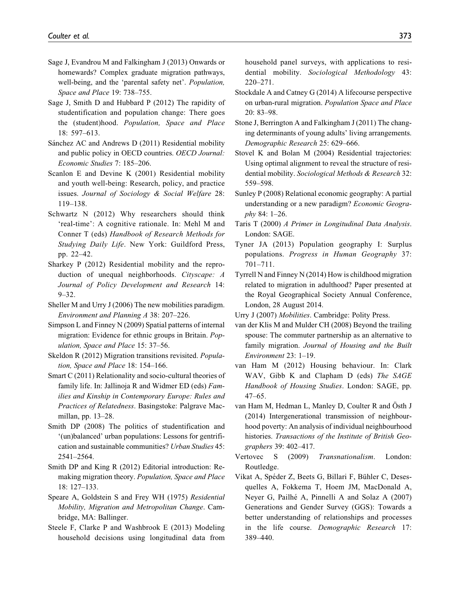- Sage J, Evandrou M and Falkingham J (2013) Onwards or homewards? Complex graduate migration pathways, well-being, and the 'parental safety net'. Population, Space and Place 19: 738–755.
- Sage J, Smith D and Hubbard P (2012) The rapidity of studentification and population change: There goes the (student)hood. Population, Space and Place 18: 597–613.
- Sánchez AC and Andrews D (2011) Residential mobility and public policy in OECD countries. OECD Journal: Economic Studies 7: 185–206.
- Scanlon E and Devine K (2001) Residential mobility and youth well-being: Research, policy, and practice issues. Journal of Sociology & Social Welfare 28: 119–138.
- Schwartz N (2012) Why researchers should think 'real-time': A cognitive rationale. In: Mehl M and Conner T (eds) Handbook of Research Methods for Studying Daily Life. New York: Guildford Press, pp. 22–42.
- Sharkey P (2012) Residential mobility and the reproduction of unequal neighborhoods. Cityscape: A Journal of Policy Development and Research 14: 9–32.
- Sheller M and Urry J (2006) The new mobilities paradigm. Environment and Planning A 38: 207–226.
- Simpson L and Finney N (2009) Spatial patterns of internal migration: Evidence for ethnic groups in Britain. Population, Space and Place 15: 37–56.
- Skeldon R (2012) Migration transitions revisited. Population, Space and Place 18: 154–166.
- Smart C (2011) Relationality and socio-cultural theories of family life. In: Jallinoja R and Widmer ED (eds) Families and Kinship in Contemporary Europe: Rules and Practices of Relatedness. Basingstoke: Palgrave Macmillan, pp. 13–28.
- Smith DP (2008) The politics of studentification and '(un)balanced' urban populations: Lessons for gentrification and sustainable communities? Urban Studies 45: 2541–2564.
- Smith DP and King R (2012) Editorial introduction: Remaking migration theory. Population, Space and Place 18: 127–133.
- Speare A, Goldstein S and Frey WH (1975) Residential Mobility, Migration and Metropolitan Change. Cambridge, MA: Ballinger.
- Steele F, Clarke P and Washbrook E (2013) Modeling household decisions using longitudinal data from

household panel surveys, with applications to residential mobility. Sociological Methodology 43: 220–271.

- Stockdale A and Catney G (2014) A lifecourse perspective on urban-rural migration. Population Space and Place 20: 83–98.
- Stone J, Berrington A and Falkingham J (2011) The changing determinants of young adults' living arrangements. Demographic Research 25: 629–666.
- Stovel K and Bolan M (2004) Residential trajectories: Using optimal alignment to reveal the structure of residential mobility. Sociological Methods & Research 32: 559–598.
- Sunley P (2008) Relational economic geography: A partial understanding or a new paradigm? Economic Geography 84: 1–26.
- Taris T (2000) A Primer in Longitudinal Data Analysis. London: SAGE.
- Tyner JA (2013) Population geography I: Surplus populations. Progress in Human Geography 37: 701–711.
- Tyrrell N and Finney N (2014) How is childhood migration related to migration in adulthood? Paper presented at the Royal Geographical Society Annual Conference, London, 28 August 2014.

Urry J (2007) Mobilities. Cambridge: Polity Press.

- van der Klis M and Mulder CH (2008) Beyond the trailing spouse: The commuter partnership as an alternative to family migration. Journal of Housing and the Built Environment 23: 1–19.
- van Ham M (2012) Housing behaviour. In: Clark WAV, Gibb K and Clapham D (eds) The SAGE Handbook of Housing Studies. London: SAGE, pp. 47–65.
- van Ham M, Hedman L, Manley D, Coulter R and Östh J (2014) Intergenerational transmission of neighbourhood poverty: An analysis of individual neighbourhood histories. Transactions of the Institute of British Geographers 39: 402–417.
- Vertovec S (2009) Transnationalism. London: Routledge.
- Vikat A, Spéder Z, Beets G, Billari F, Bühler C, Desesquelles A, Fokkema T, Hoem JM, MacDonald A, Never G, Pailhé A, Pinnelli A and Solaz A (2007) Generations and Gender Survey (GGS): Towards a better understanding of relationships and processes in the life course. Demographic Research 17: 389–440.